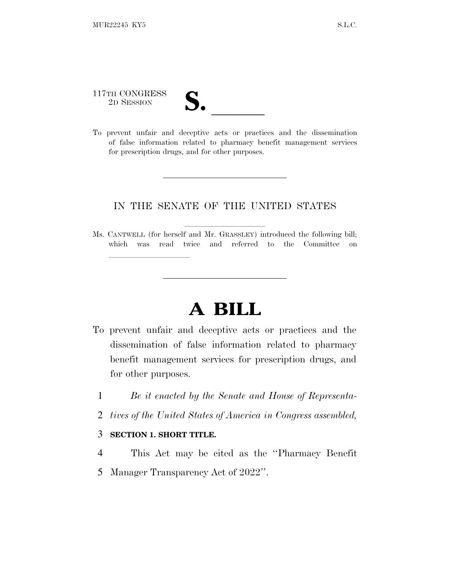117TH CONGRESS

lland and a state of the state of the state of the state of the state of the state of the state of the state o

117TH CONGRESS<br>
2D SESSION<br>
To prevent unfair and deceptive acts or practices and the dissemination of false information related to pharmacy benefit management services for prescription drugs, and for other purposes.

### IN THE SENATE OF THE UNITED STATES

Ms. CANTWELL (for herself and Mr. GRASSLEY) introduced the following bill; which was read twice and referred to the Committee on

# **A BILL**

- To prevent unfair and deceptive acts or practices and the dissemination of false information related to pharmacy benefit management services for prescription drugs, and for other purposes.
	- 1 *Be it enacted by the Senate and House of Representa-*
	- 2 *tives of the United States of America in Congress assembled,*

### 3 **SECTION 1. SHORT TITLE.**

- 4 This Act may be cited as the ''Pharmacy Benefit
- 5 Manager Transparency Act of 2022''.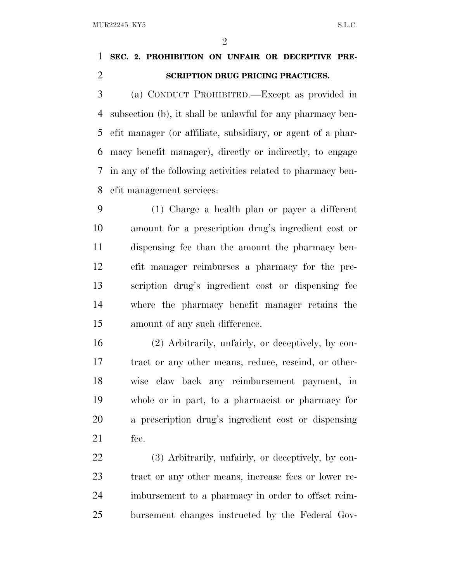$\mathfrak{D}$ 

## **SEC. 2. PROHIBITION ON UNFAIR OR DECEPTIVE PRE-SCRIPTION DRUG PRICING PRACTICES.**

 (a) CONDUCT PROHIBITED.—Except as provided in subsection (b), it shall be unlawful for any pharmacy ben- efit manager (or affiliate, subsidiary, or agent of a phar- macy benefit manager), directly or indirectly, to engage in any of the following activities related to pharmacy ben-efit management services:

 (1) Charge a health plan or payer a different amount for a prescription drug's ingredient cost or dispensing fee than the amount the pharmacy ben- efit manager reimburses a pharmacy for the pre- scription drug's ingredient cost or dispensing fee where the pharmacy benefit manager retains the amount of any such difference.

 (2) Arbitrarily, unfairly, or deceptively, by con- tract or any other means, reduce, rescind, or other- wise claw back any reimbursement payment, in whole or in part, to a pharmacist or pharmacy for a prescription drug's ingredient cost or dispensing fee.

 (3) Arbitrarily, unfairly, or deceptively, by con- tract or any other means, increase fees or lower re- imbursement to a pharmacy in order to offset reim-bursement changes instructed by the Federal Gov-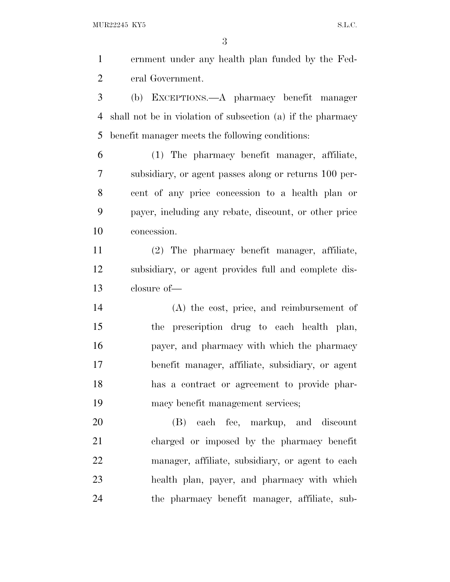ernment under any health plan funded by the Fed-eral Government.

 (b) EXCEPTIONS.—A pharmacy benefit manager shall not be in violation of subsection (a) if the pharmacy benefit manager meets the following conditions:

 (1) The pharmacy benefit manager, affiliate, subsidiary, or agent passes along or returns 100 per- cent of any price concession to a health plan or payer, including any rebate, discount, or other price concession.

 (2) The pharmacy benefit manager, affiliate, subsidiary, or agent provides full and complete dis-closure of—

 (A) the cost, price, and reimbursement of the prescription drug to each health plan, payer, and pharmacy with which the pharmacy benefit manager, affiliate, subsidiary, or agent has a contract or agreement to provide phar-macy benefit management services;

 (B) each fee, markup, and discount charged or imposed by the pharmacy benefit manager, affiliate, subsidiary, or agent to each health plan, payer, and pharmacy with which the pharmacy benefit manager, affiliate, sub-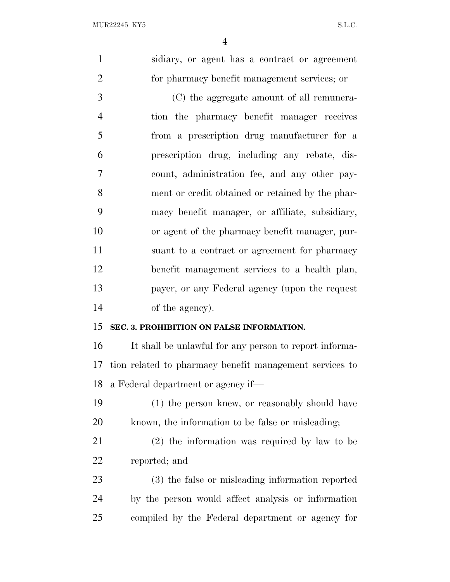sidiary, or agent has a contract or agreement for pharmacy benefit management services; or (C) the aggregate amount of all remunera- tion the pharmacy benefit manager receives from a prescription drug manufacturer for a prescription drug, including any rebate, dis- count, administration fee, and any other pay- ment or credit obtained or retained by the phar- macy benefit manager, or affiliate, subsidiary, or agent of the pharmacy benefit manager, pur- suant to a contract or agreement for pharmacy benefit management services to a health plan, payer, or any Federal agency (upon the request of the agency). **SEC. 3. PROHIBITION ON FALSE INFORMATION.** It shall be unlawful for any person to report informa- tion related to pharmacy benefit management services to a Federal department or agency if— (1) the person knew, or reasonably should have known, the information to be false or misleading; (2) the information was required by law to be reported; and (3) the false or misleading information reported by the person would affect analysis or information compiled by the Federal department or agency for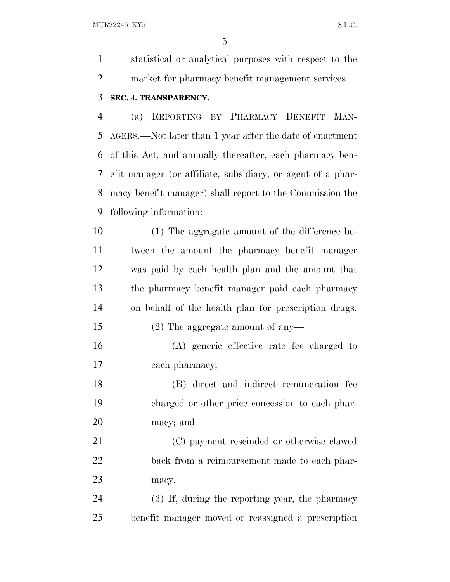MUR22245 KY5 S.L.C.

 statistical or analytical purposes with respect to the market for pharmacy benefit management services.

### **SEC. 4. TRANSPARENCY.**

 (a) REPORTING BY PHARMACY BENEFIT MAN- AGERS.—Not later than 1 year after the date of enactment of this Act, and annually thereafter, each pharmacy ben- efit manager (or affiliate, subsidiary, or agent of a phar- macy benefit manager) shall report to the Commission the following information:

 (1) The aggregate amount of the difference be- tween the amount the pharmacy benefit manager was paid by each health plan and the amount that the pharmacy benefit manager paid each pharmacy on behalf of the health plan for prescription drugs. (2) The aggregate amount of any—

 (A) generic effective rate fee charged to each pharmacy;

 (B) direct and indirect remuneration fee charged or other price concession to each phar-macy; and

 (C) payment rescinded or otherwise clawed back from a reimbursement made to each phar-macy.

 (3) If, during the reporting year, the pharmacy benefit manager moved or reassigned a prescription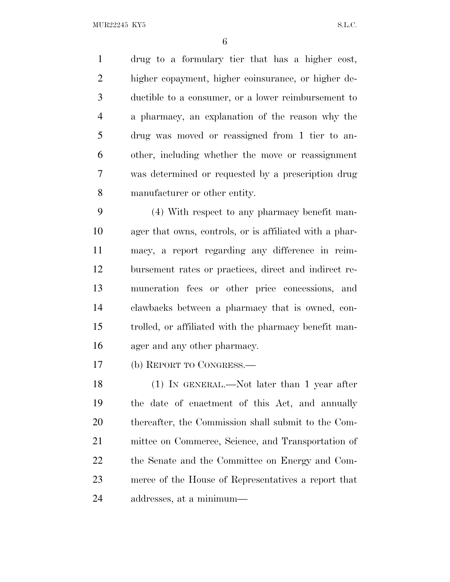MUR22245 KY5 S.L.C.

 drug to a formulary tier that has a higher cost, higher copayment, higher coinsurance, or higher de- ductible to a consumer, or a lower reimbursement to a pharmacy, an explanation of the reason why the drug was moved or reassigned from 1 tier to an- other, including whether the move or reassignment was determined or requested by a prescription drug manufacturer or other entity.

 (4) With respect to any pharmacy benefit man- ager that owns, controls, or is affiliated with a phar- macy, a report regarding any difference in reim- bursement rates or practices, direct and indirect re- muneration fees or other price concessions, and clawbacks between a pharmacy that is owned, con- trolled, or affiliated with the pharmacy benefit man-ager and any other pharmacy.

(b) REPORT TO CONGRESS.—

 (1) IN GENERAL.—Not later than 1 year after the date of enactment of this Act, and annually thereafter, the Commission shall submit to the Com- mittee on Commerce, Science, and Transportation of the Senate and the Committee on Energy and Com- merce of the House of Representatives a report that addresses, at a minimum—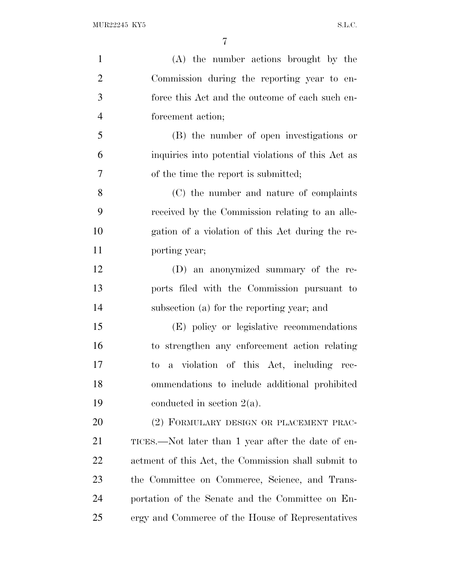| $\mathbf{1}$   | (A) the number actions brought by the               |
|----------------|-----------------------------------------------------|
| $\overline{2}$ | Commission during the reporting year to en-         |
| 3              | force this Act and the outcome of each such en-     |
| $\overline{4}$ | forcement action;                                   |
| 5              | (B) the number of open investigations or            |
| 6              | inquiries into potential violations of this Act as  |
| 7              | of the time the report is submitted;                |
| 8              | (C) the number and nature of complaints             |
| 9              | received by the Commission relating to an alle-     |
| 10             | gation of a violation of this Act during the re-    |
| 11             | porting year;                                       |
| 12             | (D) an anonymized summary of the re-                |
| 13             | ports filed with the Commission pursuant to         |
| 14             | subsection (a) for the reporting year; and          |
| 15             | (E) policy or legislative recommendations           |
| 16             | to strengthen any enforcement action relating       |
| 17             | a violation of this Act, including rec-<br>to       |
| 18             | ommendations to include additional prohibited       |
| 19             | conducted in section $2(a)$ .                       |
| 20             | (2) FORMULARY DESIGN OR PLACEMENT PRAC-             |
| 21             | TICES.—Not later than 1 year after the date of en-  |
| 22             | actment of this Act, the Commission shall submit to |
| 23             | the Committee on Commerce, Science, and Trans-      |
| 24             | portation of the Senate and the Committee on En-    |
| 25             | ergy and Commerce of the House of Representatives   |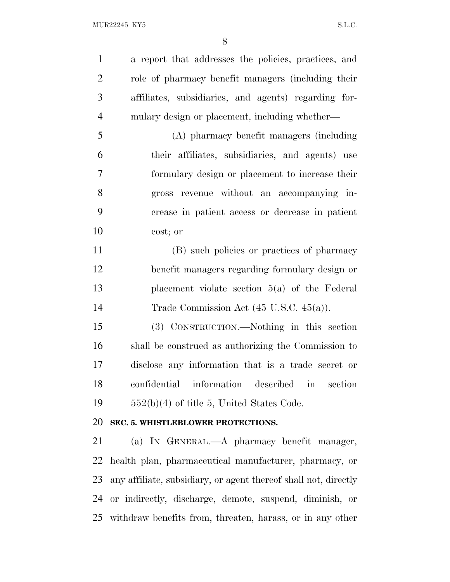a report that addresses the policies, practices, and role of pharmacy benefit managers (including their affiliates, subsidiaries, and agents) regarding for-mulary design or placement, including whether—

 (A) pharmacy benefit managers (including their affiliates, subsidiaries, and agents) use formulary design or placement to increase their gross revenue without an accompanying in- crease in patient access or decrease in patient cost; or

 (B) such policies or practices of pharmacy benefit managers regarding formulary design or placement violate section 5(a) of the Federal 14 Trade Commission Act (45 U.S.C. 45(a)).

 (3) CONSTRUCTION.—Nothing in this section shall be construed as authorizing the Commission to disclose any information that is a trade secret or confidential information described in section  $552(b)(4)$  of title 5, United States Code.

### **SEC. 5. WHISTLEBLOWER PROTECTIONS.**

 (a) I<sup>N</sup> GENERAL.—A pharmacy benefit manager, health plan, pharmaceutical manufacturer, pharmacy, or any affiliate, subsidiary, or agent thereof shall not, directly or indirectly, discharge, demote, suspend, diminish, or withdraw benefits from, threaten, harass, or in any other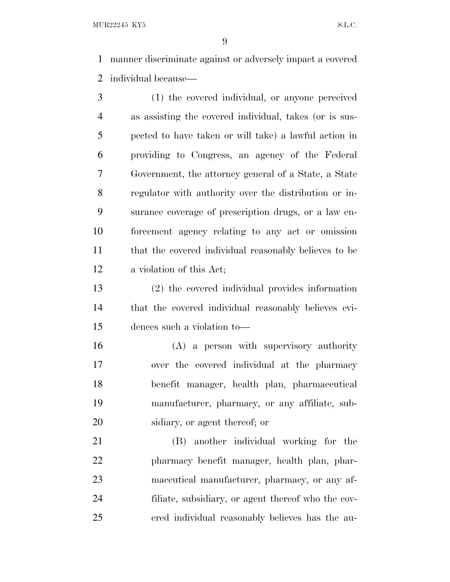MUR22245 KY5 S.L.C.

 manner discriminate against or adversely impact a covered individual because—

 (1) the covered individual, or anyone perceived as assisting the covered individual, takes (or is sus- pected to have taken or will take) a lawful action in providing to Congress, an agency of the Federal Government, the attorney general of a State, a State regulator with authority over the distribution or in- surance coverage of prescription drugs, or a law en- forcement agency relating to any act or omission that the covered individual reasonably believes to be a violation of this Act;

 (2) the covered individual provides information that the covered individual reasonably believes evi-dences such a violation to—

 (A) a person with supervisory authority over the covered individual at the pharmacy benefit manager, health plan, pharmaceutical manufacturer, pharmacy, or any affiliate, sub-sidiary, or agent thereof; or

 (B) another individual working for the pharmacy benefit manager, health plan, phar- maceutical manufacturer, pharmacy, or any af- filiate, subsidiary, or agent thereof who the cov-ered individual reasonably believes has the au-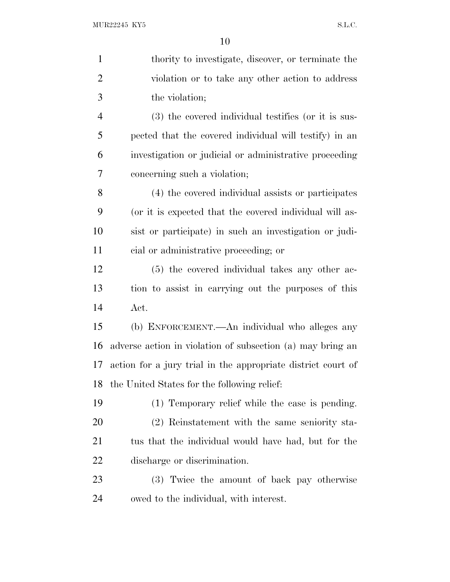| $\mathbf{1}$   | thority to investigate, discover, or terminate the           |
|----------------|--------------------------------------------------------------|
| $\overline{2}$ | violation or to take any other action to address             |
| 3              | the violation;                                               |
| $\overline{4}$ | (3) the covered individual testifies (or it is sus-          |
| 5              | pected that the covered individual will testify) in an       |
| 6              | investigation or judicial or administrative proceeding       |
| 7              | concerning such a violation;                                 |
| 8              | (4) the covered individual assists or participates           |
| 9              | (or it is expected that the covered individual will as-      |
| 10             | sist or participate) in such an investigation or judi-       |
| 11             | cial or administrative proceeding; or                        |
| 12             | (5) the covered individual takes any other ac-               |
| 13             | tion to assist in carrying out the purposes of this          |
| 14             | Act.                                                         |
| 15             | (b) ENFORCEMENT.—An individual who alleges any               |
| 16             | adverse action in violation of subsection (a) may bring an   |
| 17             | action for a jury trial in the appropriate district court of |
| 18             | the United States for the following relief:                  |
| 19             | (1) Temporary relief while the case is pending.              |
| 20             | (2) Reinstatement with the same seniority sta-               |
| 21             | tus that the individual would have had, but for the          |
| 22             | discharge or discrimination.                                 |
| 23             | (3) Twice the amount of back pay otherwise                   |
| 24             | owed to the individual, with interest.                       |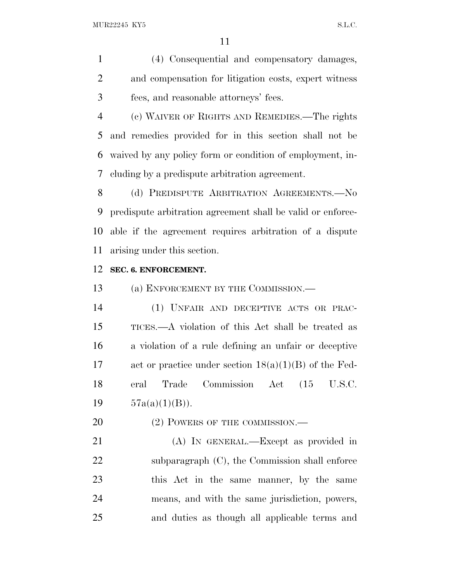(4) Consequential and compensatory damages, and compensation for litigation costs, expert witness fees, and reasonable attorneys' fees.

 (c) WAIVER OF RIGHTS AND REMEDIES.—The rights and remedies provided for in this section shall not be waived by any policy form or condition of employment, in-cluding by a predispute arbitration agreement.

8 (d) PREDISPUTE ARBITRATION AGREEMENTS.- No predispute arbitration agreement shall be valid or enforce- able if the agreement requires arbitration of a dispute arising under this section.

#### **SEC. 6. ENFORCEMENT.**

13 (a) ENFORCEMENT BY THE COMMISSION.—

 (1) UNFAIR AND DECEPTIVE ACTS OR PRAC- TICES.—A violation of this Act shall be treated as a violation of a rule defining an unfair or deceptive act or practice under section 18(a)(1)(B) of the Fed- eral Trade Commission Act (15 U.S.C.  $57a(a)(1)(B)$ .

20 (2) POWERS OF THE COMMISSION.—

 (A) IN GENERAL.—Except as provided in 22 subparagraph (C), the Commission shall enforce this Act in the same manner, by the same means, and with the same jurisdiction, powers, and duties as though all applicable terms and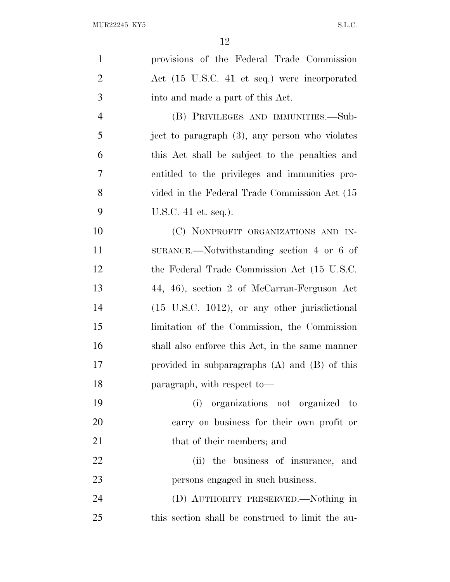| $\mathbf{1}$   | provisions of the Federal Trade Commission                |
|----------------|-----------------------------------------------------------|
| $\overline{2}$ | Act (15 U.S.C. 41 et seq.) were incorporated              |
| 3              | into and made a part of this Act.                         |
| $\overline{4}$ | (B) PRIVILEGES AND IMMUNITIES.—Sub-                       |
| 5              | ject to paragraph (3), any person who violates            |
| 6              | this Act shall be subject to the penalties and            |
| $\overline{7}$ | entitled to the privileges and immunities pro-            |
| 8              | vided in the Federal Trade Commission Act (15             |
| 9              | U.S.C. 41 et. seq.).                                      |
| 10             | (C) NONPROFIT ORGANIZATIONS AND IN-                       |
| 11             | SURANCE.—Notwithstanding section $4$ or $6$ of            |
| 12             | the Federal Trade Commission Act (15 U.S.C.               |
| 13             | 44, 46), section 2 of McCarran-Ferguson Act               |
| 14             | $(15 \text{ U.S.C. } 1012)$ , or any other jurisdictional |
| 15             | limitation of the Commission, the Commission              |
| 16             | shall also enforce this Act, in the same manner           |
| 17             | provided in subparagraphs $(A)$ and $(B)$ of this         |
| 18             | paragraph, with respect to-                               |
| 19             | (i) organizations not organized to                        |
| 20             | carry on business for their own profit or                 |
| 21             | that of their members; and                                |
| 22             | (ii) the business of insurance, and                       |
| 23             | persons engaged in such business.                         |
| 24             | (D) AUTHORITY PRESERVED.—Nothing in                       |
| 25             | this section shall be construed to limit the au-          |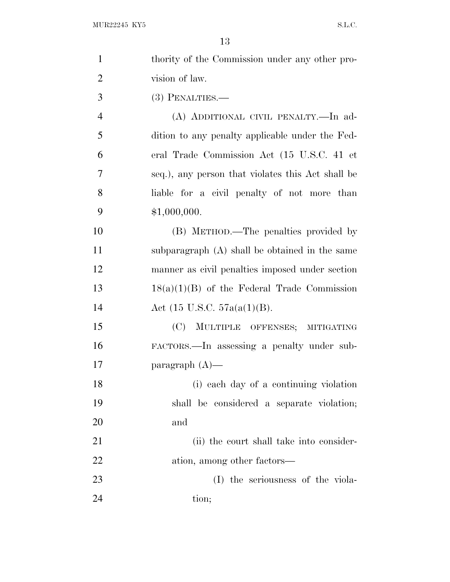| $\mathbf{1}$   | thority of the Commission under any other pro-    |
|----------------|---------------------------------------------------|
| $\overline{2}$ | vision of law.                                    |
| 3              | $(3)$ PENALTIES.—                                 |
| $\overline{4}$ | (A) ADDITIONAL CIVIL PENALTY.—In ad-              |
| 5              | dition to any penalty applicable under the Fed-   |
| 6              | eral Trade Commission Act (15 U.S.C. 41 et        |
| 7              | seq.), any person that violates this Act shall be |
| 8              | liable for a civil penalty of not more than       |
| 9              | \$1,000,000.                                      |
| 10             | (B) METHOD.—The penalties provided by             |
| 11             | subparagraph (A) shall be obtained in the same    |
| 12             | manner as civil penalties imposed under section   |
| 13             | $18(a)(1)(B)$ of the Federal Trade Commission     |
| 14             | Act $(15 \text{ U.S.C. } 57a(a(1)(B)).$           |
| 15             | (C) MULTIPLE OFFENSES; MITIGATING                 |
| 16             | FACTORS.—In assessing a penalty under sub-        |
| 17             | paragraph $(A)$ —                                 |
| 18             | (i) each day of a continuing violation            |
| 19             | shall be considered a separate violation;         |
| 20             | and                                               |
| 21             | (ii) the court shall take into consider-          |
| 22             | ation, among other factors—                       |
| 23             | (I) the seriousness of the viola-                 |
| 24             | tion;                                             |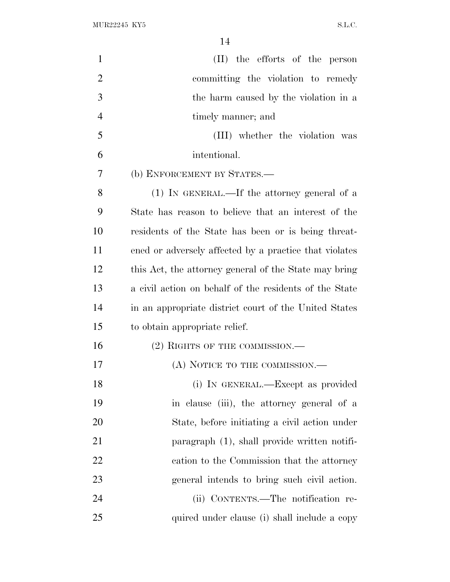| $\mathbf{1}$   | (II) the efforts of the person                         |
|----------------|--------------------------------------------------------|
| $\overline{2}$ | committing the violation to remedy                     |
| 3              | the harm caused by the violation in a                  |
| $\overline{4}$ | timely manner; and                                     |
| 5              | (III) whether the violation was                        |
| 6              | intentional.                                           |
| 7              | (b) ENFORCEMENT BY STATES.-                            |
| 8              | $(1)$ IN GENERAL.—If the attorney general of a         |
| 9              | State has reason to believe that an interest of the    |
| 10             | residents of the State has been or is being threat-    |
| 11             | ened or adversely affected by a practice that violates |
| 12             | this Act, the attorney general of the State may bring  |
| 13             | a civil action on behalf of the residents of the State |
| 14             | in an appropriate district court of the United States  |
| 15             | to obtain appropriate relief.                          |
| 16             | (2) RIGHTS OF THE COMMISSION.—                         |
| 17             | (A) NOTICE TO THE COMMISSION.—                         |
| 18             | (i) IN GENERAL.—Except as provided                     |
| 19             | in clause (iii), the attorney general of a             |
| 20             | State, before initiating a civil action under          |
| 21             | paragraph (1), shall provide written notifi-           |
| 22             | cation to the Commission that the attorney             |
| 23             | general intends to bring such civil action.            |
| 24             | (ii) CONTENTS.—The notification re-                    |
| 25             | quired under clause (i) shall include a copy           |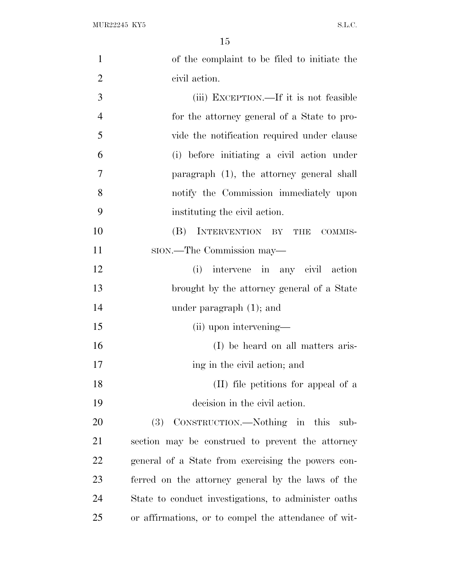| $\mathbf{1}$   | of the complaint to be filed to initiate the         |
|----------------|------------------------------------------------------|
| $\overline{2}$ | civil action.                                        |
| 3              | (iii) EXCEPTION.—If it is not feasible               |
| $\overline{4}$ | for the attorney general of a State to pro-          |
| 5              | vide the notification required under clause          |
| 6              | (i) before initiating a civil action under           |
| 7              | paragraph (1), the attorney general shall            |
| 8              | notify the Commission immediately upon               |
| 9              | instituting the civil action.                        |
| 10             | INTERVENTION BY THE<br>(B)<br>COMMIS-                |
| 11             | sion.—The Commission may—                            |
| 12             | (i) intervene in any civil action                    |
| 13             | brought by the attorney general of a State           |
| 14             | under paragraph $(1)$ ; and                          |
| 15             | (ii) upon intervening—                               |
| 16             | (I) be heard on all matters aris-                    |
| 17             | ing in the civil action; and                         |
| 18             | (II) file petitions for appeal of a                  |
| 19             | decision in the civil action.                        |
| 20             | (3) CONSTRUCTION.—Nothing in this<br>sub-            |
| 21             | section may be construed to prevent the attorney     |
| 22             | general of a State from exercising the powers con-   |
| 23             | ferred on the attorney general by the laws of the    |
| 24             | State to conduct investigations, to administer oaths |
| 25             | or affirmations, or to compel the attendance of wit- |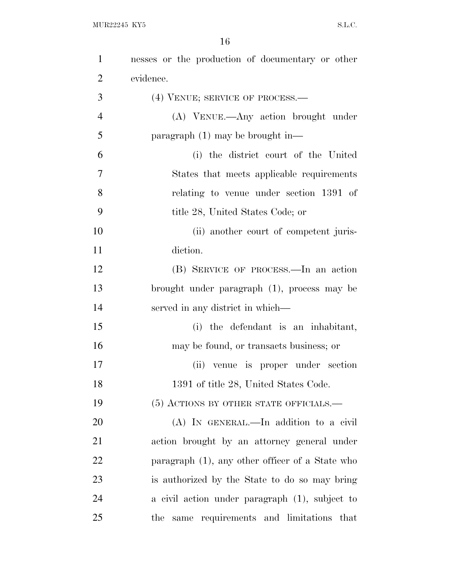| $\mathbf{1}$   | nesses or the production of documentary or other |
|----------------|--------------------------------------------------|
| $\overline{2}$ | evidence.                                        |
| 3              | (4) VENUE; SERVICE OF PROCESS.—                  |
| $\overline{4}$ | (A) VENUE.—Any action brought under              |
| 5              | paragraph $(1)$ may be brought in—               |
| 6              | (i) the district court of the United             |
| 7              | States that meets applicable requirements        |
| 8              | relating to venue under section 1391 of          |
| 9              | title 28, United States Code; or                 |
| 10             | (ii) another court of competent juris-           |
| 11             | diction.                                         |
| 12             | (B) SERVICE OF PROCESS.—In an action             |
| 13             | brought under paragraph (1), process may be      |
| 14             | served in any district in which—                 |
| 15             | (i) the defendant is an inhabitant,              |
| 16             | may be found, or transacts business; or          |
| 17             | (ii) venue is proper under section               |
| 18             | 1391 of title 28, United States Code.            |
| 19             | (5) ACTIONS BY OTHER STATE OFFICIALS.—           |
| 20             | (A) IN GENERAL.—In addition to a civil           |
| 21             | action brought by an attorney general under      |
| 22             | paragraph (1), any other officer of a State who  |
| 23             | is authorized by the State to do so may bring    |
| 24             | a civil action under paragraph (1), subject to   |
| 25             | same requirements and limitations that<br>the    |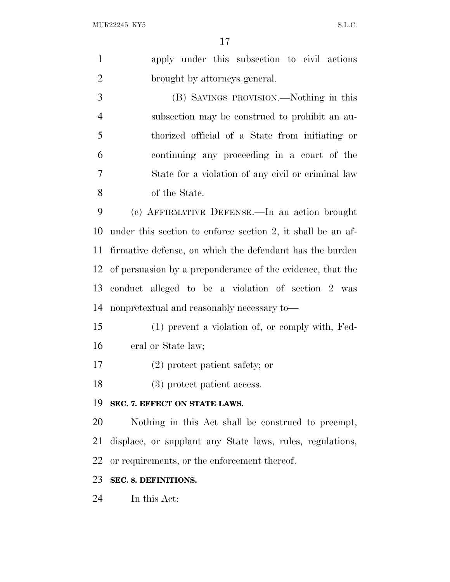|                | 17                                                          |
|----------------|-------------------------------------------------------------|
| $\mathbf{1}$   | apply under this subsection to civil actions                |
| $\overline{2}$ | brought by attorneys general.                               |
| 3              | (B) SAVINGS PROVISION.—Nothing in this                      |
| $\overline{4}$ | subsection may be construed to prohibit an au-              |
| 5              | thorized official of a State from initiating or             |
| 6              | continuing any proceeding in a court of the                 |
| $\tau$         | State for a violation of any civil or criminal law          |
| 8              | of the State.                                               |
| 9              | (c) AFFIRMATIVE DEFENSE.—In an action brought               |
| 10             | under this section to enforce section 2, it shall be an af- |
| 11             | firmative defense, on which the defendant has the burden    |
| 12             | of persuasion by a preponderance of the evidence, that the  |
| 13             | conduct alleged to be a violation of section 2 was          |
| 14             | nonpretextual and reasonably necessary to—                  |
| 15             | (1) prevent a violation of, or comply with, Fed-            |
| 16             | eral or State law;                                          |
| 17             | (2) protect patient safety; or                              |
| 18             | (3) protect patient access.                                 |
| 19             | SEC. 7. EFFECT ON STATE LAWS.                               |
| 20             | Nothing in this Act shall be construed to preempt,          |
| 21             | displace, or supplant any State laws, rules, regulations,   |
| 22             | or requirements, or the enforcement thereof.                |
| 23             | SEC. 8. DEFINITIONS.                                        |

In this Act: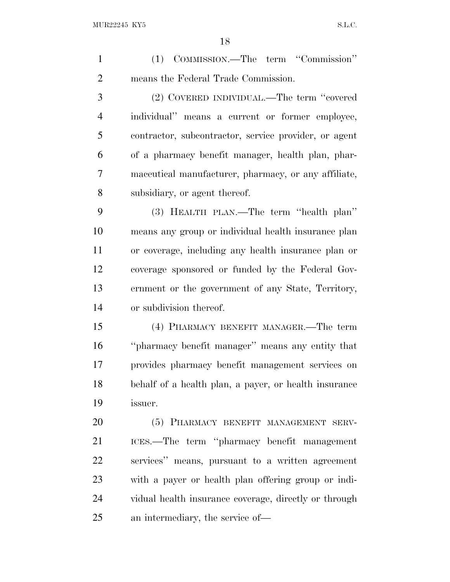(1) COMMISSION.—The term ''Commission'' means the Federal Trade Commission. (2) COVERED INDIVIDUAL.—The term ''covered individual'' means a current or former employee, contractor, subcontractor, service provider, or agent of a pharmacy benefit manager, health plan, phar- maceutical manufacturer, pharmacy, or any affiliate, subsidiary, or agent thereof. (3) HEALTH PLAN.—The term ''health plan'' means any group or individual health insurance plan or coverage, including any health insurance plan or coverage sponsored or funded by the Federal Gov- ernment or the government of any State, Territory, or subdivision thereof. (4) PHARMACY BENEFIT MANAGER.—The term ''pharmacy benefit manager'' means any entity that provides pharmacy benefit management services on behalf of a health plan, a payer, or health insurance issuer. (5) PHARMACY BENEFIT MANAGEMENT SERV- ICES.—The term ''pharmacy benefit management services'' means, pursuant to a written agreement with a payer or health plan offering group or indi- vidual health insurance coverage, directly or through an intermediary, the service of—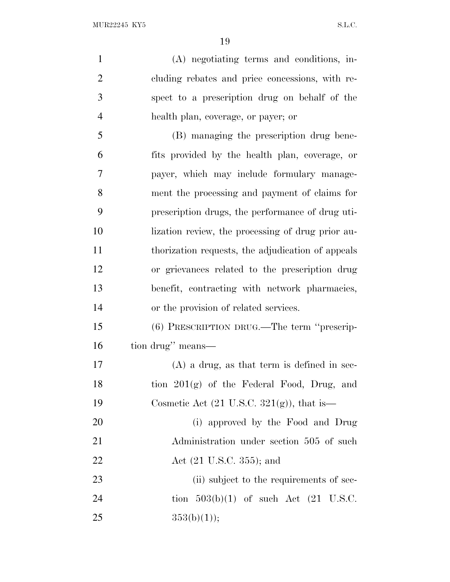(A) negotiating terms and conditions, in- cluding rebates and price concessions, with re- spect to a prescription drug on behalf of the health plan, coverage, or payer; or (B) managing the prescription drug bene- fits provided by the health plan, coverage, or payer, which may include formulary manage- ment the processing and payment of claims for prescription drugs, the performance of drug uti- lization review, the processing of drug prior au- thorization requests, the adjudication of appeals or grievances related to the prescription drug benefit, contracting with network pharmacies, or the provision of related services. (6) PRESCRIPTION DRUG.—The term ''prescrip- tion drug'' means— (A) a drug, as that term is defined in sec-18 tion  $201(g)$  of the Federal Food, Drug, and 19 Cosmetic Act  $(21 \text{ U.S.C. } 321(g))$ , that is— (i) approved by the Food and Drug 21 Administration under section 505 of such 22 Act (21 U.S.C. 355); and 23 (ii) subject to the requirements of sec-24 tion  $503(b)(1)$  of such Act  $(21 \text{ U.S.C.})$ 

25  $353(b)(1)$ ;